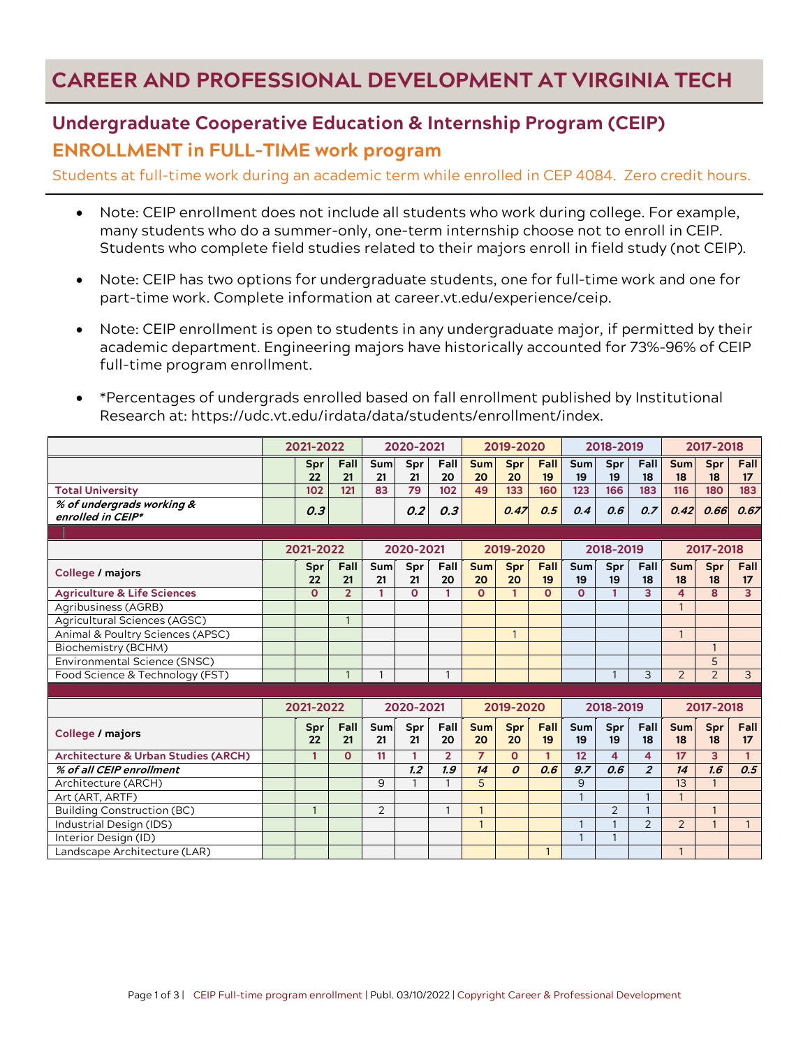## **CAREER AND PROFESSIONAL DEVELOPMENT AT VIRGINIA TECH**

## **Undergraduate Cooperative Education & Internship Program (CEIP) ENROLLMENT in FULL-TIME work program**

Students at full-time work during an academic term while enrolled in CEP 4084. Zero credit hours.

- Note: CEIP enrollment does not include all students who work during college. For example, many students who do a summer-only, one-term internship choose not to enroll in CEIP. Students who complete field studies related to their majors enroll in field study (not CEIP).
- Note: CEIP has two options for undergraduate students, one for full-time work and one for part-time work. Complete information at career.vt.edu/experience/ceip.
- Note: CEIP enrollment is open to students in any undergraduate major, if permitted by their academic department. Engineering majors have historically accounted for 73%-96% of CEIP full-time program enrollment.
- \*Percentages of undergrads enrolled based on fall enrollment published by Institutional Research at: https://udc.vt.edu/irdata/data/students/enrollment/index.

|                                                | 2021-2022 |              |                | 2020-2021      |              |                |                  | 2019-2020        |                |                | 2018-2019      |                         | 2017-2018        |                |                |  |
|------------------------------------------------|-----------|--------------|----------------|----------------|--------------|----------------|------------------|------------------|----------------|----------------|----------------|-------------------------|------------------|----------------|----------------|--|
|                                                |           | Spr<br>22    | Fall<br>21     | Sum<br>21      | Spr<br>21    | Fall<br>20     | <b>Sum</b><br>20 | Spr<br>20        | Fall<br>19     | Sum<br>19      | Spr<br>19      | Fall<br>18              | <b>Sum</b><br>18 | Spr<br>18      | Fall<br>17     |  |
| <b>Total University</b>                        |           | 102          | 121            | 83             | 79           | 102            | 49               | 133              | 160            | 123            | 166            | 183                     | 116              | 180            | 183            |  |
| % of undergrads working &<br>enrolled in CEIP* |           | 0.3          |                |                | 0.2          | 0.3            |                  | 0.47             | 0.5            | 0.4            | 0.6            | 0.7                     | 0.42             | 0.66           | 0.67           |  |
|                                                |           |              |                |                |              |                |                  |                  |                |                |                |                         |                  |                |                |  |
|                                                |           | 2021-2022    |                |                | 2020-2021    |                |                  | 2019-2020        |                |                | 2018-2019      |                         |                  | 2017-2018      |                |  |
| College / majors                               |           | Spr<br>22    | Fall<br>21     | Sum<br>21      | Spr<br>21    | Fall<br>20     | <b>Sum</b><br>20 | Spr<br>20        | Fall<br>19     | Sum<br>19      | Spr<br>19      | Fall<br>18              | <b>Sum</b><br>18 | Spr<br>18      | Fall<br>17     |  |
| <b>Agriculture &amp; Life Sciences</b>         |           | $\Omega$     | $\overline{2}$ | 1              | $\mathbf{o}$ | 1              | $\Omega$         | 1                | $\Omega$       | $\Omega$       | 1              | $\overline{\mathbf{3}}$ | 4                | 8              | $\overline{3}$ |  |
| Agribusiness (AGRB)                            |           |              |                |                |              |                |                  |                  |                |                |                |                         | $\mathbf{1}$     |                |                |  |
| Agricultural Sciences (AGSC)                   |           |              |                |                |              |                |                  |                  |                |                |                |                         |                  |                |                |  |
| Animal & Poultry Sciences (APSC)               |           |              |                |                |              |                |                  | $\mathbf{1}$     |                |                |                |                         | $\mathbf{1}$     |                |                |  |
| Biochemistry (BCHM)                            |           |              |                |                |              |                |                  |                  |                |                |                |                         |                  | $\mathbf{1}$   |                |  |
| Environmental Science (SNSC)                   |           |              |                |                |              |                |                  |                  |                |                |                |                         |                  | 5              |                |  |
| Food Science & Technology (FST)                |           |              | $\mathbf{1}$   | $\overline{1}$ |              |                |                  |                  |                |                | $\mathbf{1}$   | 3                       | 2                | $\overline{2}$ | $\overline{3}$ |  |
|                                                |           |              |                |                |              |                |                  |                  |                |                |                |                         |                  |                |                |  |
|                                                |           | 2021-2022    |                |                | 2020-2021    |                |                  | 2019-2020        |                |                | 2018-2019      |                         |                  | 2017-2018      |                |  |
| College / majors                               |           | Spr<br>22    | Fall<br>21     | Sum<br>21      | Spr<br>21    | Fall<br>20     | <b>Sum</b><br>20 | Spr<br>20        | Fall<br>19     | Sum<br>19      | Spr<br>19      | Fall<br>18              | <b>Sum</b><br>18 | Spr<br>18      | Fall<br>17     |  |
| <b>Architecture &amp; Urban Studies (ARCH)</b> |           | 1            | $\Omega$       | 11             | 1            | $\overline{2}$ | $\overline{7}$   | $\Omega$         | $\mathbf{1}$   | 12             | 4              | 4                       | 17               | 3              | $\mathbf{1}$   |  |
| % of all CEIP enrollment                       |           |              |                |                | 1.2          | 1.9            | 14               | $\boldsymbol{0}$ | 0.6            | 9.7            | 0.6            | $\overline{z}$          | 14               | 1.6            | 0.5            |  |
| Architecture (ARCH)                            |           |              |                | 9              | $\mathbf{1}$ |                | 5                |                  |                | 9              |                |                         | 13               |                |                |  |
| Art (ART, ARTF)                                |           |              |                |                |              |                |                  |                  |                | $\overline{1}$ |                | $\mathbf{1}$            | $\mathbf{1}$     |                |                |  |
| <b>Building Construction (BC)</b>              |           | $\mathbf{1}$ |                | 2              |              | 1              | $\mathbf{1}$     |                  |                |                | $\overline{2}$ |                         |                  | $\mathbf{1}$   |                |  |
| Industrial Design (IDS)                        |           |              |                |                |              |                | $\mathbf{1}$     |                  |                | $\mathbf{1}$   | $\mathbf{1}$   | $\overline{2}$          | 2                | $\mathbf{1}$   | $\mathbf{1}$   |  |
| Interior Design (ID)                           |           |              |                |                |              |                |                  |                  |                | $\overline{1}$ | $\mathbf{1}$   |                         |                  |                |                |  |
| Landscape Architecture (LAR)                   |           |              |                |                |              |                |                  |                  | $\overline{1}$ |                |                |                         | $\mathbf{1}$     |                |                |  |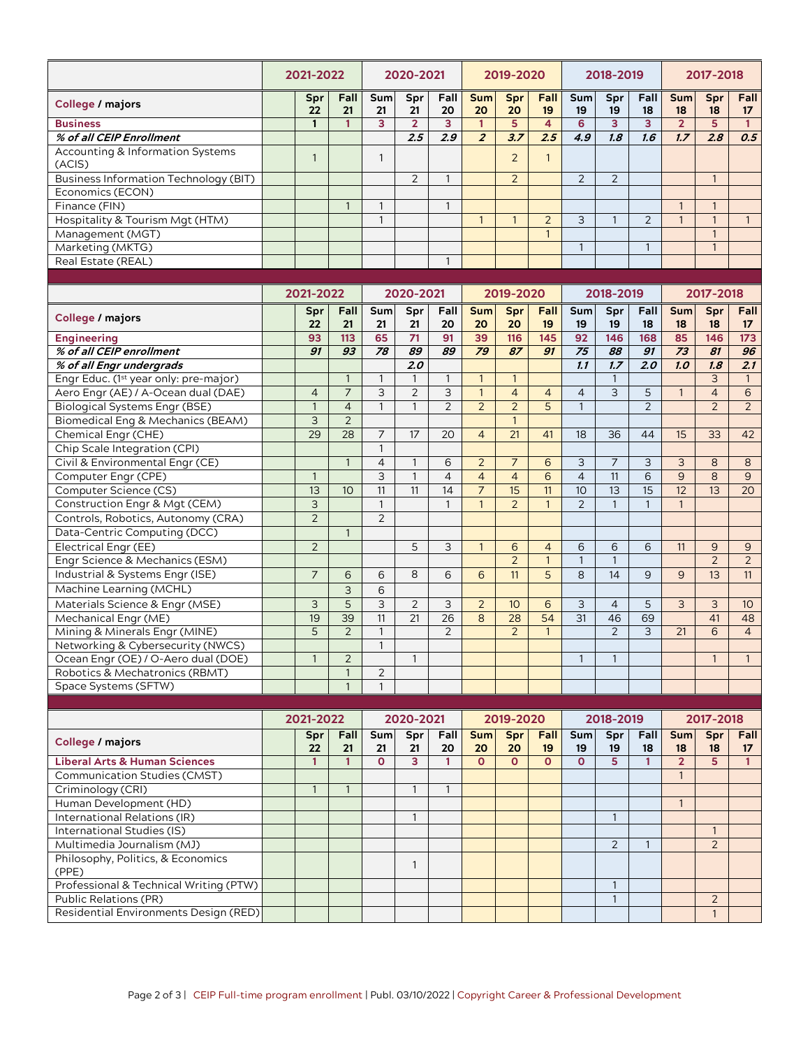|                                                       | 2021-2022      |                 |                | 2020-2021       |                |                          | 2019-2020           |                   | 2018-2019       |                 |                | 2017-2018       |                     |                                |
|-------------------------------------------------------|----------------|-----------------|----------------|-----------------|----------------|--------------------------|---------------------|-------------------|-----------------|-----------------|----------------|-----------------|---------------------|--------------------------------|
| <b>College / majors</b>                               | Spr<br>22      | Fall<br>21      | Sum<br>21      | Spr<br>21       | Fall<br>20     | <b>Sum</b><br>20         | Spr<br>20           | Fall<br>19        | Sum<br>19       | Spr<br>19       | Fall<br>18     | Sum<br>18       | Spr<br>18           | Fall<br>17                     |
| <b>Business</b>                                       | $\mathbf{1}$   | 1               | 3              | $\overline{2}$  | 3              | $\mathbf{1}$             | 5                   | 4                 | 6               | 3               | 3              | $\overline{2}$  | 5                   | $\mathbf{1}$                   |
| % of all CEIP Enrollment                              |                |                 |                | 2.5             | 2.9            | $\overline{z}$           | 3.7                 | 2.5               | 4.9             | 1.8             | 1.6            | 1.7             | 2.8                 | 0.5                            |
| <b>Accounting &amp; Information Systems</b><br>(ACIS) | $\mathbf{1}$   |                 | $\mathbf{1}$   |                 |                |                          | $\overline{2}$      | $\mathbf{1}$      |                 |                 |                |                 |                     |                                |
| <b>Business Information Technology (BIT)</b>          |                |                 |                | $\overline{2}$  | $\mathbf{1}$   |                          | $\overline{2}$      |                   | 2               | $\overline{2}$  |                |                 | $\mathbf{1}$        |                                |
| Economics (ECON)                                      |                |                 |                |                 |                |                          |                     |                   |                 |                 |                |                 |                     |                                |
| Finance (FIN)                                         |                | $\mathbf{1}$    | $\mathbf{1}$   |                 | $\mathbf{1}$   |                          |                     |                   |                 |                 |                | $\mathbf{1}$    | $\mathbf{1}$        |                                |
| Hospitality & Tourism Mgt (HTM)                       |                |                 | $\mathbf{1}$   |                 |                | $\mathbf{1}$             | $\mathbf{1}$        | 2                 | 3               | $\mathbf{1}$    | $\overline{2}$ | $\mathbf{1}$    | $\mathbf{1}$        | $\mathbf{1}$                   |
| Management (MGT)                                      |                |                 |                |                 |                |                          |                     | $\mathbf{1}$      |                 |                 |                |                 | $\mathbf{1}$        |                                |
| Marketing (MKTG)                                      |                |                 |                |                 |                |                          |                     |                   | $\mathbf{1}$    |                 | 1              |                 | $\mathbf{1}$        |                                |
| Real Estate (REAL)                                    |                |                 |                |                 | $\mathbf{1}$   |                          |                     |                   |                 |                 |                |                 |                     |                                |
|                                                       |                |                 |                |                 |                |                          |                     |                   |                 |                 |                |                 |                     |                                |
|                                                       | 2021-2022      |                 | 2020-2021      |                 |                | 2019-2020                |                     |                   | 2018-2019       |                 |                | 2017-2018       |                     |                                |
| <b>College / majors</b>                               | Spr<br>22      | Fall<br>21      | Sum<br>21      | Spr<br>21       | Fall<br>20     | Sum<br>20                | Spr<br>20           | Fall<br>19        | Sum<br>19       | Spr<br>19       | Fall<br>18     | Sum<br>18       | Spr<br>18           | Fall<br>17                     |
| <b>Engineering</b>                                    | 93             | 113             | 65             | 71              | 91             | 39                       | 116                 | 145               | 92              | 146             | 168            | 85              | 146                 | 173                            |
| % of all CEIP enrollment                              | 91             | $\overline{g}$  | 78             | 89              | 89             | 79                       | 87                  | 91                | $\overline{75}$ | $\overline{88}$ | 91             | $\overline{73}$ | $\overline{81}$     | 96                             |
| % of all Engr undergrads                              |                |                 |                | 2.0             |                |                          |                     |                   | 1.1             | 1.7             | 2.0            | 1.0             | 1.8                 | 2.1                            |
| Engr Educ. (1 <sup>st</sup> year only: pre-major)     |                | $\mathbf{1}$    | $\mathbf{1}$   | $\mathbf{1}$    | $\mathbf{1}$   | $\mathbf{1}$             | $\mathbf{1}$        |                   |                 | $\mathbf{1}$    |                |                 | 3                   | $\mathbf{1}$                   |
| Aero Engr (AE) / A-Ocean dual (DAE)                   | $\overline{4}$ | $\overline{7}$  | 3              | $\overline{2}$  | 3              | $\mathbf{1}$             | $\overline{4}$      | $\overline{4}$    | $\overline{4}$  | 3               | 5              | $\mathbf{1}$    | $\overline{4}$      | $6\phantom{1}6$                |
| <b>Biological Systems Engr (BSE)</b>                  | $\mathbf{1}$   | $\overline{4}$  | $\mathbf{1}$   | $\mathbf{1}$    | $\overline{2}$ | $\overline{2}$           | $\overline{2}$      | 5                 | $\mathbf{1}$    |                 | $\overline{2}$ |                 | $\overline{2}$      | $\overline{2}$                 |
| Biomedical Eng & Mechanics (BEAM)                     | 3              | $\overline{2}$  |                |                 |                |                          | $\mathbf{1}$        |                   |                 |                 |                |                 |                     |                                |
| Chemical Engr (CHE)                                   | 29             | 28              | $\overline{7}$ | 17              | 20             | $\overline{\mathcal{L}}$ | 21                  | 41                | 18              | 36              | 44             | 15              | 33                  | 42                             |
| Chip Scale Integration (CPI)                          |                |                 | $\mathbf{1}$   |                 |                |                          |                     |                   |                 |                 |                |                 |                     |                                |
| Civil & Environmental Engr (CE)                       |                | $\mathbf{1}$    | $\overline{4}$ | $\mathbf{1}$    | 6              | $\overline{2}$           | $\overline{7}$      | 6                 | 3               | $\overline{7}$  | 3              | 3               | 8                   | 8                              |
| Computer Engr (CPE)                                   | $\mathbf{1}$   |                 | $\overline{3}$ | $\mathbf{1}$    | $\overline{4}$ | $\overline{4}$           | $\overline{4}$      | 6                 | $\overline{4}$  | 11              | 6              | 9               | 8                   | 9                              |
| Computer Science (CS)                                 | 13             | 10              | 11             | 11              | 14             | $\overline{7}$           | 15                  | 11                | 10              | 13              | 15             | 12              | 13                  | 20                             |
| Construction Engr & Mgt (CEM)                         | $\mathsf{3}$   |                 | $\mathbf{1}$   |                 | $\mathbf{1}$   | $\mathbf{1}$             | $\overline{2}$      | $\mathbf{1}$      | $\overline{2}$  | $\mathbf{1}$    | $\mathbf{1}$   | $\mathbf{1}$    |                     |                                |
| Controls, Robotics, Autonomy (CRA)                    | $\overline{2}$ |                 | $\overline{2}$ |                 |                |                          |                     |                   |                 |                 |                |                 |                     |                                |
| Data-Centric Computing (DCC)                          |                |                 |                |                 |                |                          |                     |                   |                 |                 |                |                 |                     |                                |
|                                                       |                | $\mathbf{1}$    |                |                 |                |                          |                     |                   |                 |                 |                |                 |                     |                                |
| Electrical Engr (EE)                                  | $\overline{2}$ |                 |                | 5               | 3              | $\mathbf{1}$             | 6<br>$\overline{2}$ | $\overline{4}$    | 6               | 6               | 6              | 11              | 9<br>$\overline{2}$ | 9                              |
| Engr Science & Mechanics (ESM)                        |                |                 |                | 8               |                |                          |                     | $\mathbf{1}$      | $\mathbf{1}$    | 1               |                |                 |                     | 2                              |
| Industrial & Systems Engr (ISE)                       | $\overline{7}$ | 6               | 6              |                 | 6              | 6                        | 11                  | 5                 | 8               | 14              | 9              | 9               | 13                  | 11                             |
| Machine Learning (MCHL)                               |                | 3               | 6              |                 |                |                          |                     |                   |                 |                 |                |                 |                     |                                |
| Materials Science & Engr (MSE)                        | 3              | 5               | 3              | $\overline{2}$  | 3              | $\overline{2}$           | 10 <sup>10</sup>    | 6                 | 3               | $\overline{4}$  | 5              | 3               | 3                   | 10                             |
| Mechanical Engr (ME)                                  | 19             | $\overline{39}$ | 11             | $\overline{21}$ | 26             | 8                        | 28                  | $\overline{54}$   | $\overline{31}$ | 46              | 69             |                 | 41                  | 48                             |
| Mining & Minerals Engr (MINE)                         | 5              | $\overline{2}$  | $\mathbf{1}$   |                 | $\overline{2}$ |                          | $\overline{2}$      | $\mathbf{1}$      |                 | $\overline{2}$  | 3              | 21              | 6                   | $\overline{4}$                 |
| Networking & Cybersecurity (NWCS)                     |                |                 | $\mathbf{1}$   |                 |                |                          |                     |                   |                 |                 |                |                 |                     |                                |
| Ocean Engr (OE) / O-Aero dual (DOE)                   | 1              | 2               |                | $\mathbf{1}$    |                |                          |                     |                   | $\mathbf{1}$    | $\mathbf{1}$    |                |                 | $\mathbf{1}$        | $\mathbf{1}$                   |
| Robotics & Mechatronics (RBMT)                        |                | $\mathbf{1}$    | $\overline{2}$ |                 |                |                          |                     |                   |                 |                 |                |                 |                     |                                |
| Space Systems (SFTW)                                  |                | $\mathbf{1}$    | $\mathbf{1}$   |                 |                |                          |                     |                   |                 |                 |                |                 |                     |                                |
|                                                       | 2021-2022      |                 |                | 2020-2021       |                | 2019-2020                |                     |                   | 2018-2019       |                 |                | 2017-2018       |                     |                                |
| <b>College / majors</b>                               | Spr<br>22      | Fall<br>21      | Sum<br>21      | Spr<br>21       | Fall<br>20     | <b>Sum</b><br>20         | Spr<br>20           | <b>Fall</b><br>19 | Sum<br>19       | Spr<br>19       | Fall<br>18     | Sum<br>18       | Spr<br>18           | <b>Fall</b><br>17 <sup>2</sup> |
| <b>Liberal Arts &amp; Human Sciences</b>              | $\mathbf{1}$   | $\mathbf{1}$    | $\mathbf{o}$   | $\overline{3}$  | $\mathbf{1}$   | $\mathbf{O}$             | $\mathbf{O}$        | $\mathbf{O}$      | $\mathbf{O}$    | 5               | $\mathbf{1}$   | $\overline{2}$  | 5 <sup>1</sup>      | $\mathbf{1}$                   |
| Communication Studies (CMST)                          |                |                 |                |                 |                |                          |                     |                   |                 |                 |                | $\mathbf{1}$    |                     |                                |
| Criminology (CRI)                                     | $\mathbf{1}$   | 1               |                | 1               | 1              |                          |                     |                   |                 |                 |                |                 |                     |                                |
| Human Development (HD)                                |                |                 |                |                 |                |                          |                     |                   |                 |                 |                | $\mathbf{1}$    |                     |                                |
| International Relations (IR)                          |                |                 |                | $\mathbf{1}$    |                |                          |                     |                   |                 | $\mathbf{1}$    |                |                 |                     |                                |
| International Studies (IS)                            |                |                 |                |                 |                |                          |                     |                   |                 |                 |                |                 | $\mathbf{1}$        |                                |
| Multimedia Journalism (MJ)                            |                |                 |                |                 |                |                          |                     |                   |                 | 2               | 1              |                 | $\overline{2}$      |                                |
| Philosophy, Politics, & Economics                     |                |                 |                |                 |                |                          |                     |                   |                 |                 |                |                 |                     |                                |
| (PPE)                                                 |                |                 |                | $\mathbf{1}$    |                |                          |                     |                   |                 |                 |                |                 |                     |                                |
| Professional & Technical Writing (PTW)                |                |                 |                |                 |                |                          |                     |                   |                 | $\mathbf{1}$    |                |                 |                     |                                |
| <b>Public Relations (PR)</b>                          |                |                 |                |                 |                |                          |                     |                   |                 | $\mathbf{1}$    |                |                 | $\overline{2}$      |                                |
| Residential Environments Design (RED)                 |                |                 |                |                 |                |                          |                     |                   |                 |                 |                |                 | $\mathbf{1}$        |                                |